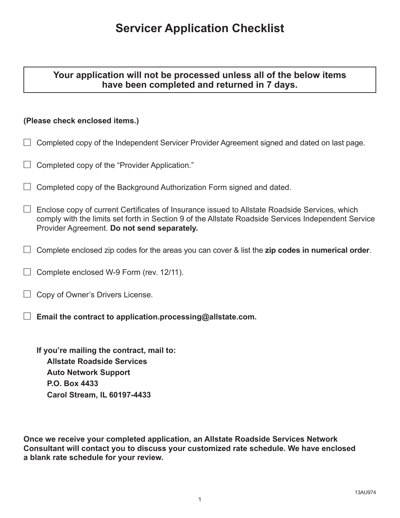# **Servicer Application Checklist**

## **Your application will not be processed unless all of the below items have been completed and returned in 7 days.**

## **(Please check enclosed items.)**

- $\Box$  Completed copy of the Independent Servicer Provider Agreement signed and dated on last page.
- $\Box$  Completed copy of the "Provider Application."
- $\Box$  Completed copy of the Background Authorization Form signed and dated.
- $\Box$  Enclose copy of current Certificates of Insurance issued to Allstate Roadside Services, which comply with the limits set forth in Section 9 of the Allstate Roadside Services Independent Service Provider Agreement. **Do not send separately.**
- $\Box$  Complete enclosed zip codes for the areas you can cover & list the zip codes in numerical order.
- $\Box$  Complete enclosed W-9 Form (rev. 12/11).
- $\Box$  Copy of Owner's Drivers License.
- 6 **Email the contract to application.processing@allstate.com.**

 **If you're mailing the contract, mail to: Allstate Roadside Services Auto Network Support P.O. Box 4433 Carol Stream, IL 60197-4433**

**Once we receive your completed application, an Allstate Roadside Services Network Consultant will contact you to discuss your customized rate schedule. We have enclosed a blank rate schedule for your review.**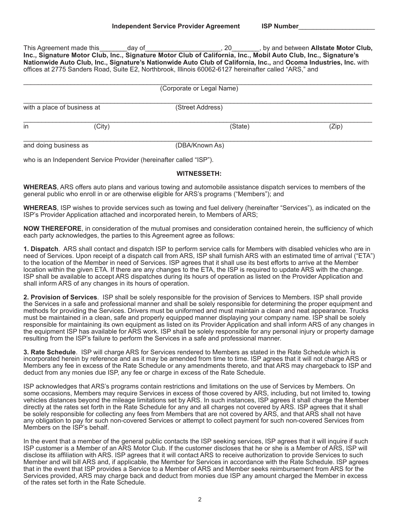This Agreement made this \_\_\_\_\_\_\_day of \_\_\_\_\_\_\_\_\_\_\_\_\_\_\_\_\_\_\_\_, 20\_\_\_\_\_\_\_\_, by and between **Allstate Motor Club, Inc., Signature Motor Club, Inc., Signature Motor Club of California, Inc., Mobil Auto Club, Inc., Signature's Nationwide Auto Club, Inc., Signature's Nationwide Auto Club of California, Inc.,** and **Ocoma Industries, Inc.** with ofices at 2775 Sanders Road, Suite E2, Northbrook, Illinois 60062-6127 hereinafter called "ARS," and

| (Corporate or Legal Name) |                             |                  |       |  |
|---------------------------|-----------------------------|------------------|-------|--|
|                           | with a place of business at | (Street Address) |       |  |
| in                        | (City)                      | (State)          | (Zip) |  |
| and doing business as     |                             | (DBA/Known As)   |       |  |

who is an Independent Service Provider (hereinafter called "ISP").

## **WITNESSETH:**

**WHEREAS**, ARS offers auto plans and various towing and automobile assistance dispatch services to members of the general public who enroll in or are otherwise eligible for ARS's programs ("Members"); and

**WHEREAS**, ISP wishes to provide services such as towing and fuel delivery (hereinafter "Services"), as indicated on the ISP's Provider Application attached and incorporated herein, to Members of ARS;

**NOW THEREFORE**, in consideration of the mutual promises and consideration contained herein, the suficiency of which each party acknowledges, the parties to this Agreement agree as follows:

**1. Dispatch**. ARS shall contact and dispatch ISP to perform service calls for Members with disabled vehicles who are in need of Services. Upon receipt of a dispatch call from ARS, ISP shall furnish ARS with an estimated time of arrival ("ETA") to the location of the Member in need of Services. ISP agrees that it shall use its best efforts to arrive at the Member location within the given ETA. If there are any changes to the ETA, the ISP is required to update ARS with the change. ISP shall be available to accept ARS dispatches during its hours of operation as listed on the Provider Application and shall inform ARS of any changes in its hours of operation.

**2. Provision of Services**. ISP shall be solely responsible for the provision of Services to Members. ISP shall provide the Services in a safe and professional manner and shall be solely responsible for determining the proper equipment and methods for providing the Services. Drivers must be uniformed and must maintain a clean and neat appearance. Trucks must be maintained in a clean, safe and properly equipped manner displaying your company name. ISP shall be solely responsible for maintaining its own equipment as listed on its Provider Application and shall inform ARS of any changes in the equipment ISP has available for ARS work. ISP shall be solely responsible for any personal injury or property damage resulting from the ISP's failure to perform the Services in a safe and professional manner.

**3. Rate Schedule**. ISP will charge ARS for Services rendered to Members as stated in the Rate Schedule which is incorporated herein by reference and as it may be amended from time to time. ISP agrees that it will not charge ARS or Members any fee in excess of the Rate Schedule or any amendments thereto, and that ARS may chargeback to ISP and deduct from any monies due ISP, any fee or charge in excess of the Rate Schedule.

ISP acknowledges that ARS's programs contain restrictions and limitations on the use of Services by Members. On some occasions, Members may require Services in excess of those covered by ARS, including, but not limited to, towing vehicles distances beyond the mileage limitations set by ARS. In such instances, ISP agrees it shall charge the Member directly at the rates set forth in the Rate Schedule for any and all charges not covered by ARS. ISP agrees that it shall be solely responsible for collecting any fees from Members that are not covered by ARS, and that ARS shall not have any obligation to pay for such non-covered Services or attempt to collect payment for such non-covered Services from Members on the ISP's behalf.

In the event that a member of the general public contacts the ISP seeking services, ISP agrees that it will inquire if such ISP customer is a Member of an ARS Motor Club. If the customer discloses that he or she is a Member of ARS, ISP will disclose its afiliation with ARS. ISP agrees that it will contact ARS to receive authorization to provide Services to such Member and will bill ARS and, if applicable, the Member for Services in accordance with the Rate Schedule. ISP agrees that in the event that ISP provides a Service to a Member of ARS and Member seeks reimbursement from ARS for the Services provided, ARS may charge back and deduct from monies due ISP any amount charged the Member in excess of the rates set forth in the Rate Schedule.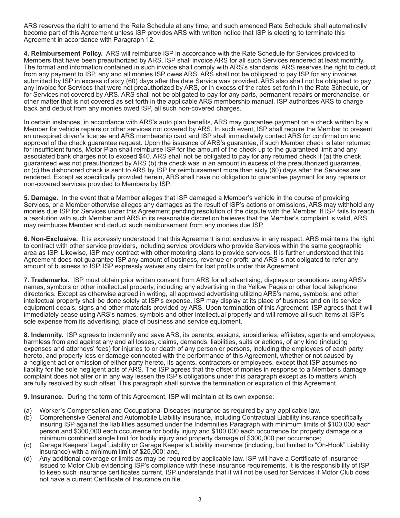ARS reserves the right to amend the Rate Schedule at any time, and such amended Rate Schedule shall automatically become part of this Agreement unless ISP provides ARS with written notice that ISP is electing to terminate this Agreement in accordance with Paragraph 12.

**4. Reimbursement Policy.** ARS will reimburse ISP in accordance with the Rate Schedule for Services provided to Members that have been preauthorized by ARS. ISP shall invoice ARS for all such Services rendered at least monthly. The format and information contained in such invoice shall comply with ARS's standards. ARS reserves the right to deduct from any payment to ISP, any and all monies ISP owes ARS. ARS shall not be obligated to pay ISP for any invoices submitted by ISP in excess of sixty (60) days after the date Service was provided. ARS also shall not be obligated to pay any invoice for Services that were not preauthorized by ARS, or in excess of the rates set forth in the Rate Schedule, or for Services not covered by ARS. ARS shall not be obligated to pay for any parts, permanent repairs or merchandise, or other matter that is not covered as set forth in the applicable ARS membership manual. ISP authorizes ARS to charge back and deduct from any monies owed ISP, all such non-covered charges.

In certain instances, in accordance with ARS's auto plan benefits, ARS may guarantee payment on a check written by a Member for vehicle repairs or other services not covered by ARS. In such event, ISP shall require the Member to present an unexpired driver's license and ARS membership card and ISP shall immediately contact ARS for conirmation and approval of the check guarantee request. Upon the issuance of ARS's guarantee, if such Member check is later returned for insuficient funds, Motor Plan shall reimburse ISP for the amount of the check up to the guaranteed limit and any associated bank charges not to exceed \$40. ARS shall not be obligated to pay for any returned check if (a) the check guaranteed was not preauthorized by ARS (b) the check was in an amount in excess of the preauthorized guarantee, or (c) the dishonored check is sent to ARS by ISP for reimbursement more than sixty (60) days after the Services are rendered. Except as speciically provided herein, ARS shall have no obligation to guarantee payment for any repairs or non-covered services provided to Members by ISP.

**5. Damage.** In the event that a Member alleges that ISP damaged a Member's vehicle in the course of providing Services, or a Member otherwise alleges any damages as the result of ISP's actions or omissions, ARS may withhold any monies due ISP for Services under this Agreement pending resolution of the dispute with the Member. If ISP fails to reach a resolution with such Member and ARS in its reasonable discretion believes that the Member's complaint is valid, ARS may reimburse Member and deduct such reimbursement from any monies due ISP.

**6. Non-Exclusive.** It is expressly understood that this Agreement is not exclusive in any respect. ARS maintains the right to contract with other service providers, including service providers who provide Services within the same geographic area as ISP. Likewise, ISP may contract with other motoring plans to provide services. It is further understood that this Agreement does not guarantee ISP any amount of business, revenue or profit, and ARS is not obligated to refer any amount of business to ISP. ISP expressly waives any claim for lost proits under this Agreement.

**7. Trademarks.** ISP must obtain prior written consent from ARS for all advertising, displays or promotions using ARS's names, symbols or other intellectual property, including any advertising in the Yellow Pages or other local telephone directories. Except as otherwise agreed in writing, all approved advertising utilizing ARS's name, symbols, and other intellectual property shall be done solely at ISP's expense. ISP may display at its place of business and on its service equipment decals, signs and other materials provided by ARS. Upon termination of this Agreement, ISP agrees that it will immediately cease using ARS's names, symbols and other intellectual property and will remove all such items at ISP's sole expense from its advertising, place of business and service equipment.

**8. Indemnity.** ISP agrees to indemnify and save ARS, its parents, assigns, subsidiaries, afiliates, agents and employees, harmless from and against any and all losses, claims, demands, liabilities, suits or actions, of any kind (including expenses and attorneys' fees) for injuries to or death of any person or persons, including the employees of each party hereto, and property loss or damage connected with the performance of this Agreement, whether or not caused by a negligent act or omission of either party hereto, its agents, contractors or employees, except that ISP assumes no liability for the sole negligent acts of ARS. The ISP agrees that the offset of monies in response to a Member's damage complaint does not alter or in any way lessen the ISP's obligations under this paragraph except as to matters which are fully resolved by such offset. This paragraph shall survive the termination or expiration of this Agreement.

**9. Insurance.** During the term of this Agreement, ISP will maintain at its own expense:

- (a) Worker's Compensation and Occupational Diseases insurance as required by any applicable law.
- (b) Comprehensive General and Automobile Liability insurance, including Contractual Liability insurance speciically insuring ISP against the liabilities assumed under the Indemnities Paragraph with minimum limits of \$100,000 each person and \$300,000 each occurrence for bodily injury and \$100,000 each occurrence for property damage or a minimum combined single limit for bodily injury and property damage of \$300,000 per occurrence;
- (c) Garage Keepers' Legal Liability or Garage Keeper's Liability insurance (including, but limited to "On-Hook" Liability insurance) with a minimum limit of \$25,000; and,
- (d) Any additional coverage or limits as may be required by applicable law. ISP will have a Certiicate of Insurance issued to Motor Club evidencing ISP's compliance with these insurance requirements. It is the responsibility of ISP to keep such insurance certiicates current. ISP understands that it will not be used for Services if Motor Club does not have a current Certificate of Insurance on file.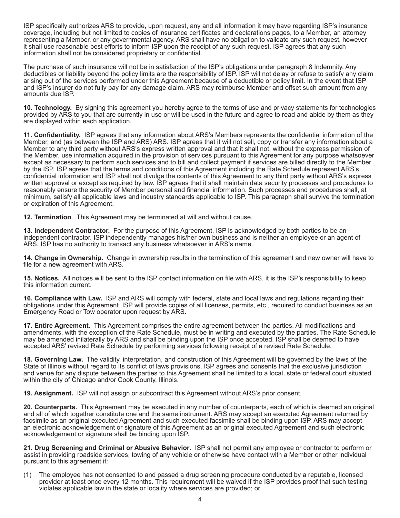ISP speciically authorizes ARS to provide, upon request, any and all information it may have regarding ISP's insurance coverage, including but not limited to copies of insurance certiicates and declarations pages, to a Member, an attorney representing a Member, or any governmental agency. ARS shall have no obligation to validate any such request, however it shall use reasonable best efforts to inform ISP upon the receipt of any such request. ISP agrees that any such information shall not be considered proprietary or conidential.

The purchase of such insurance will not be in satisfaction of the ISP's obligations under paragraph 8 Indemnity. Any deductibles or liability beyond the policy limits are the responsibility of ISP. ISP will not delay or refuse to satisfy any claim arising out of the services performed under this Agreement because of a deductible or policy limit. In the event that ISP and ISP's insurer do not fully pay for any damage claim, ARS may reimburse Member and offset such amount from any amounts due ISP.

**10. Technology.** By signing this agreement you hereby agree to the terms of use and privacy statements for technologies provided by ARS to you that are currently in use or will be used in the future and agree to read and abide by them as they are displayed within each application.

**11. Confidentiality.** ISP agrees that any information about ARS's Members represents the confidential information of the Member, and (as between the ISP and ARS) ARS. ISP agrees that it will not sell, copy or transfer any information about a Member to any third party without ARS's express written approval and that it shall not, without the express permission of the Member, use information acquired in the provision of services pursuant to this Agreement for any purpose whatsoever except as necessary to perform such services and to bill and collect payment if services are billed directly to the Member by the ISP. ISP agrees that the terms and conditions of this Agreement including the Rate Schedule represent ARS's conidential information and ISP shall not divulge the contents of this Agreement to any third party without ARS's express written approval or except as required by law. ISP agrees that it shall maintain data security processes and procedures to reasonably ensure the security of Member personal and inancial information. Such processes and procedures shall, at minimum, satisfy all applicable laws and industry standards applicable to ISP. This paragraph shall survive the termination or expiration of this Agreement.

**12. Termination**. This Agreement may be terminated at will and without cause.

**13. Independent Contractor.** For the purpose of this Agreement, ISP is acknowledged by both parties to be an independent contractor. ISP independently manages his/her own business and is neither an employee or an agent of ARS. ISP has no authority to transact any business whatsoever in ARS's name.

**14. Change in Ownership.** Change in ownership results in the termination of this agreement and new owner will have to file for a new agreement with ARS.

**15. Notices.** All notices will be sent to the ISP contact information on ile with ARS. it is the ISP's responsibility to keep this information current.

**16. Compliance with Law.** ISP and ARS will comply with federal, state and local laws and regulations regarding their obligations under this Agreement. ISP will provide copies of all licenses, permits, etc., required to conduct business as an Emergency Road or Tow operator upon request by ARS.

**17. Entire Agreement.** This Agreement comprises the entire agreement between the parties. All modifications and amendments, with the exception of the Rate Schedule, must be in writing and executed by the parties. The Rate Schedule may be amended inilaterally by ARS and shall be binding upon the ISP once accepted. ISP shall be deemed to have accepted ARS' revised Rate Schedule by performing services following receipt of a revised Rate Schedule.

**18. Governing Law.** The validity, interpretation, and construction of this Agreement will be governed by the laws of the State of Illinois without regard to its conflict of laws provisions. ISP agrees and consents that the exclusive jurisdiction and venue for any dispute between the parties to this Agreement shall be limited to a local, state or federal court situated within the city of Chicago and/or Cook County, Illinois.

**19. Assignment.** ISP will not assign or subcontract this Agreement without ARS's prior consent.

**20. Counterparts.** This Agreement may be executed in any number of counterparts, each of which is deemed an original and all of which together constitute one and the same instrument. ARS may accept an executed Agreement returned by facsimile as an original executed Agreement and such executed facsimile shall be binding upon ISP. ARS may accept an electronic acknowledgement or signature of this Agreement as an original executed Agreement and such electronic acknowledgement or signature shall be binding upon ISP.

**21. Drug Screening and Criminal or Abusive Behavior**. ISP shall not permit any employee or contractor to perform or assist in providing roadside services, towing of any vehicle or otherwise have contact with a Member or other individual pursuant to this agreement if:

(1) The employee has not consented to and passed a drug screening procedure conducted by a reputable, licensed provider at least once every 12 months. This requirement will be waived if the ISP provides proof that such testing violates applicable law in the state or locality where services are provided; or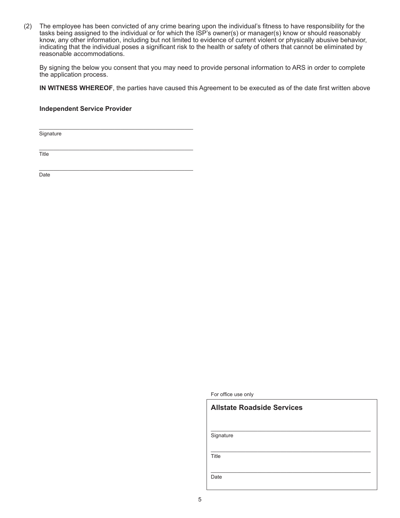(2) The employee has been convicted of any crime bearing upon the individual's itness to have responsibility for the tasks being assigned to the individual or for which the ISP's owner(s) or manager(s) know or should reasonably know, any other information, including but not limited to evidence of current violent or physically abusive behavior, indicating that the individual poses a significant risk to the health or safety of others that cannot be eliminated by reasonable accommodations.

 By signing the below you consent that you may need to provide personal information to ARS in order to complete the application process.

**IN WITNESS WHEREOF**, the parties have caused this Agreement to be executed as of the date first written above

**Independent Service Provider**

\_\_\_\_\_\_\_\_\_\_\_\_\_\_\_\_\_\_\_\_\_\_\_\_\_\_\_\_\_\_\_\_\_\_\_\_\_\_\_\_\_\_\_\_\_\_\_\_\_\_\_\_\_

\_\_\_\_\_\_\_\_\_\_\_\_\_\_\_\_\_\_\_\_\_\_\_\_\_\_\_\_\_\_\_\_\_\_\_\_\_\_\_\_\_\_\_\_\_\_\_\_\_\_\_\_\_

**Signature** 

\_\_\_\_\_\_\_\_\_\_\_\_\_\_\_\_\_\_\_\_\_\_\_\_\_\_\_\_\_\_\_\_\_\_\_\_\_\_\_\_\_\_\_\_\_\_\_\_\_\_\_\_\_ **Title** 

Date

For ofice use only

| <b>Allstate Roadside Services</b> |  |  |  |  |
|-----------------------------------|--|--|--|--|
| Signature                         |  |  |  |  |
| Title                             |  |  |  |  |
| Date                              |  |  |  |  |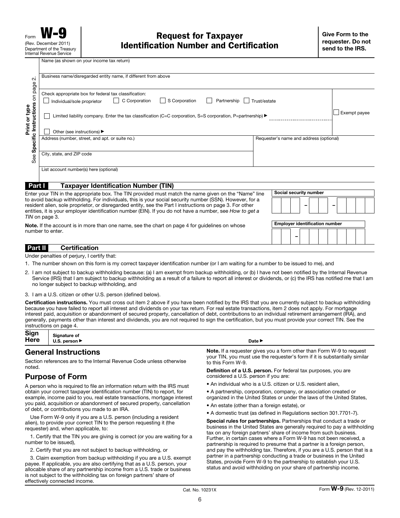Name (as shown on your income tax return)

| $\sim$                                                                                                                                                                    | Business name/disregarded entity name, if different from above                                                                                      |                                         |  |
|---------------------------------------------------------------------------------------------------------------------------------------------------------------------------|-----------------------------------------------------------------------------------------------------------------------------------------------------|-----------------------------------------|--|
| page                                                                                                                                                                      |                                                                                                                                                     |                                         |  |
| $\overline{5}$                                                                                                                                                            | Check appropriate box for federal tax classification:                                                                                               |                                         |  |
|                                                                                                                                                                           | S Corporation<br>C Corporation<br>Partnership<br>Individual/sole proprietor<br>$\perp$<br>$\mathbf{I}$                                              | Trust/estate                            |  |
| Specific Instructions<br>Print or type<br>Limited liability company. Enter the tax classification (C=C corporation, S=S corporation, P=partnership) $\blacktriangleright$ |                                                                                                                                                     |                                         |  |
|                                                                                                                                                                           | Other (see instructions) ▶                                                                                                                          |                                         |  |
|                                                                                                                                                                           | Address (number, street, and apt. or suite no.)                                                                                                     | Requester's name and address (optional) |  |
|                                                                                                                                                                           |                                                                                                                                                     |                                         |  |
| See                                                                                                                                                                       | City, state, and ZIP code                                                                                                                           |                                         |  |
|                                                                                                                                                                           | List account number(s) here (optional)                                                                                                              |                                         |  |
|                                                                                                                                                                           |                                                                                                                                                     |                                         |  |
| Part I                                                                                                                                                                    | <b>Taxpayer Identification Number (TIN)</b><br>Enter your TIN in the appropriate box. The TIN provided must match the name given on the "Name" line | Social security number                  |  |
|                                                                                                                                                                           | to avoid backup withholding. For individuals, this is your social security number (SSN). However, for a                                             |                                         |  |
|                                                                                                                                                                           | resident alien, sole proprietor, or disregarded entity, see the Part I instructions on page 3. For other                                            |                                         |  |
|                                                                                                                                                                           | entities, it is your employer identification number (EIN). If you do not have a number, see How to get a<br>TIN on page 3.                          |                                         |  |
|                                                                                                                                                                           | <b>Note.</b> If the account is in more than one name, see the chart on page 4 for quidelines on whose                                               | <b>Employer identification number</b>   |  |
|                                                                                                                                                                           | number to enter.                                                                                                                                    |                                         |  |
|                                                                                                                                                                           |                                                                                                                                                     |                                         |  |
| Part II                                                                                                                                                                   | <b>Certification</b>                                                                                                                                |                                         |  |

Under penalties of perjury, I certify that:

- 1. The number shown on this form is my correct taxpayer identification number (or I am waiting for a number to be issued to me), and
- 2. I am not subject to backup withholding because: (a) I am exempt from backup withholding, or (b) I have not been notified by the Internal Revenue Service (IRS) that I am subject to backup withholding as a result of a failure to report all interest or dividends, or (c) the IRS has notified me that I am no longer subject to backup withholding, and
- 3. I am a U.S. citizen or other U.S. person (defined below).

Certification instructions. You must cross out item 2 above if you have been notified by the IRS that you are currently subject to backup withholding because you have failed to report all interest and dividends on your tax return. For real estate transactions, item 2 does not apply. For mortgage interest paid, acquisition or abandonment of secured property, cancellation of debt, contributions to an individual retirement arrangement (IRA), and generally, payments other than interest and dividends, you are not required to sign the certification, but you must provide your correct TIN. See the instructions on page 4.

| Sign $\left\{\n \begin{array}{c}\n \text{Signature of} \\ \text{U.S. person}\n \end{array}\n\right\}$ |                            |
|-------------------------------------------------------------------------------------------------------|----------------------------|
|                                                                                                       | Date $\blacktriangleright$ |

## General Instructions

Section references are to the Internal Revenue Code unless otherwise noted.

## Purpose of Form

A person who is required to file an information return with the IRS must obtain your correct taxpayer identification number (TIN) to report, for example, income paid to you, real estate transactions, mortgage interest you paid, acquisition or abandonment of secured property, cancellation of debt, or contributions you made to an IRA.

Use Form W-9 only if you are a U.S. person (including a resident alien), to provide your correct TIN to the person requesting it (the requester) and, when applicable, to:

1. Certify that the TIN you are giving is correct (or you are waiting for a number to be issued),

2. Certify that you are not subject to backup withholding, or

3. Claim exemption from backup withholding if you are a U.S. exempt payee. If applicable, you are also certifying that as a U.S. person, your allocable share of any partnership income from a U.S. trade or business is not subject to the withholding tax on foreign partners' share of effectively connected income.

Note. If a requester gives you a form other than Form W-9 to request your TIN, you must use the requester's form if it is substantially similar to this Form W-9.

Definition of a U.S. person. For federal tax purposes, you are considered a U.S. person if you are:

- An individual who is a U.S. citizen or U.S. resident alien,
- A partnership, corporation, company, or association created or organized in the United States or under the laws of the United States,
- An estate (other than a foreign estate), or
- A domestic trust (as defined in Regulations section 301.7701-7).

Special rules for partnerships. Partnerships that conduct a trade or business in the United States are generally required to pay a withholding tax on any foreign partners' share of income from such business. Further, in certain cases where a Form W-9 has not been received, a partnership is required to presume that a partner is a foreign person, and pay the withholding tax. Therefore, if you are a U.S. person that is a partner in a partnership conducting a trade or business in the United States, provide Form W-9 to the partnership to establish your U.S. status and avoid withholding on your share of partnership income.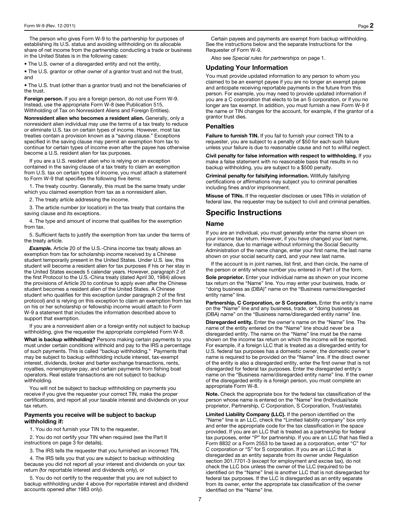The person who gives Form W-9 to the partnership for purposes of establishing its U.S. status and avoiding withholding on its allocable share of net income from the partnership conducting a trade or business in the United States is in the following cases:

• The U.S. owner of a disregarded entity and not the entity,

• The U.S. grantor or other owner of a grantor trust and not the trust, and

• The U.S. trust (other than a grantor trust) and not the beneficiaries of the trust.

Foreign person. If you are a foreign person, do not use Form W-9. Instead, use the appropriate Form W-8 (see Publication 515, Withholding of Tax on Nonresident Aliens and Foreign Entities).

Nonresident alien who becomes a resident alien. Generally, only a nonresident alien individual may use the terms of a tax treaty to reduce or eliminate U.S. tax on certain types of income. However, most tax treaties contain a provision known as a "saving clause." Exceptions specified in the saving clause may permit an exemption from tax to continue for certain types of income even after the payee has otherwise become a U.S. resident alien for tax purposes.

If you are a U.S. resident alien who is relying on an exception contained in the saving clause of a tax treaty to claim an exemption from U.S. tax on certain types of income, you must attach a statement to Form W-9 that specifies the following five items:

1. The treaty country. Generally, this must be the same treaty under which you claimed exemption from tax as a nonresident alien.

2. The treaty article addressing the income.

3. The article number (or location) in the tax treaty that contains the saving clause and its exceptions.

4. The type and amount of income that qualifies for the exemption from tax.

5. Sufficient facts to justify the exemption from tax under the terms of the treaty article.

**Example.** Article 20 of the U.S.-China income tax treaty allows an exemption from tax for scholarship income received by a Chinese student temporarily present in the United States. Under U.S. law, this student will become a resident alien for tax purposes if his or her stay in the United States exceeds 5 calendar years. However, paragraph 2 of the first Protocol to the U.S.-China treaty (dated April 30, 1984) allows the provisions of Article 20 to continue to apply even after the Chinese student becomes a resident alien of the United States. A Chinese student who qualifies for this exception (under paragraph 2 of the first protocol) and is relying on this exception to claim an exemption from tax on his or her scholarship or fellowship income would attach to Form W-9 a statement that includes the information described above to support that exemption.

If you are a nonresident alien or a foreign entity not subject to backup withholding, give the requester the appropriate completed Form W-8.

What is backup withholding? Persons making certain payments to you must under certain conditions withhold and pay to the IRS a percentage of such payments. This is called "backup withholding." Payments that may be subject to backup withholding include interest, tax-exempt interest, dividends, broker and barter exchange transactions, rents, royalties, nonemployee pay, and certain payments from fishing boat operators. Real estate transactions are not subject to backup withholding.

You will not be subject to backup withholding on payments you receive if you give the requester your correct TIN, make the proper certifications, and report all your taxable interest and dividends on your tax return.

#### Payments you receive will be subject to backup withholding if:

1. You do not furnish your TIN to the requester,

2. You do not certify your TIN when required (see the Part II instructions on page 3 for details),

3. The IRS tells the requester that you furnished an incorrect TIN,

4. The IRS tells you that you are subject to backup withholding because you did not report all your interest and dividends on your tax return (for reportable interest and dividends only), or

5. You do not certify to the requester that you are not subject to backup withholding under 4 above (for reportable interest and dividend accounts opened after 1983 only).

Certain payees and payments are exempt from backup withholding. See the instructions below and the separate Instructions for the Requester of Form W-9.

Also see Special rules for partnerships on page 1.

#### Updating Your Information

You must provide updated information to any person to whom you claimed to be an exempt payee if you are no longer an exempt payee and anticipate receiving reportable payments in the future from this person. For example, you may need to provide updated information if you are a C corporation that elects to be an S corporation, or if you no longer are tax exempt. In addition, you must furnish a new Form W-9 if the name or TIN changes for the account, for example, if the grantor of a grantor trust dies.

#### **Penalties**

Failure to furnish TIN. If you fail to furnish your correct TIN to a requester, you are subject to a penalty of \$50 for each such failure unless your failure is due to reasonable cause and not to willful neglect.

Civil penalty for false information with respect to withholding. If you make a false statement with no reasonable basis that results in no backup withholding, you are subject to a \$500 penalty.

Criminal penalty for falsifying information. Willfully falsifying certifications or affirmations may subject you to criminal penalties including fines and/or imprisonment.

Misuse of TINs. If the requester discloses or uses TINs in violation of federal law, the requester may be subject to civil and criminal penalties.

## Specific Instructions

#### Name

If you are an individual, you must generally enter the name shown on your income tax return. However, if you have changed your last name, for instance, due to marriage without informing the Social Security Administration of the name change, enter your first name, the last name shown on your social security card, and your new last name.

If the account is in joint names, list first, and then circle, the name of the person or entity whose number you entered in Part I of the form.

Sole proprietor. Enter your individual name as shown on your income tax return on the "Name" line. You may enter your business, trade, or "doing business as (DBA)" name on the "Business name/disregarded entity name" line.

Partnership, C Corporation, or S Corporation. Enter the entity's name on the "Name" line and any business, trade, or "doing business as (DBA) name" on the "Business name/disregarded entity name" line.

Disregarded entity. Enter the owner's name on the "Name" line. The name of the entity entered on the "Name" line should never be a disregarded entity. The name on the "Name" line must be the name shown on the income tax return on which the income will be reported. For example, if a foreign LLC that is treated as a disregarded entity for U.S. federal tax purposes has a domestic owner, the domestic owner's name is required to be provided on the "Name" line. If the direct owner of the entity is also a disregarded entity, enter the first owner that is not disregarded for federal tax purposes. Enter the disregarded entity's name on the "Business name/disregarded entity name" line. If the owner of the disregarded entity is a foreign person, you must complete an appropriate Form W-8.

Note. Check the appropriate box for the federal tax classification of the person whose name is entered on the "Name" line (Individual/sole proprietor, Partnership, C Corporation, S Corporation, Trust/estate).

Limited Liability Company (LLC). If the person identified on the "Name" line is an LLC, check the "Limited liability company" box only and enter the appropriate code for the tax classification in the space provided. If you are an LLC that is treated as a partnership for federal tax purposes, enter "P" for partnership. If you are an LLC that has filed a Form 8832 or a Form 2553 to be taxed as a corporation, enter "C" for C corporation or "S" for S corporation. If you are an LLC that is disregarded as an entity separate from its owner under Regulation section 301.7701-3 (except for employment and excise tax), do not check the LLC box unless the owner of the LLC (required to be identified on the "Name" line) is another LLC that is not disregarded for federal tax purposes. If the LLC is disregarded as an entity separate from its owner, enter the appropriate tax classification of the owner identified on the "Name" line.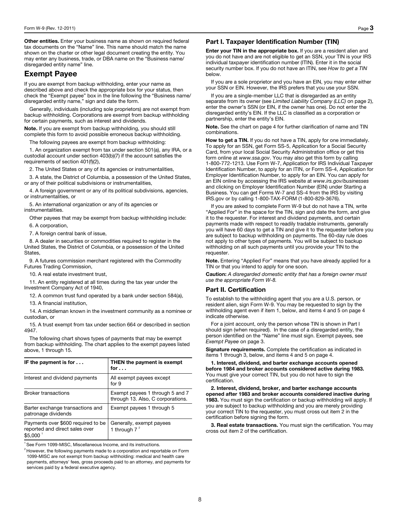Other entities. Enter your business name as shown on required federal tax documents on the "Name" line. This name should match the name shown on the charter or other legal document creating the entity. You may enter any business, trade, or DBA name on the "Business name/ disregarded entity name" line.

## Exempt Payee

If you are exempt from backup withholding, enter your name as described above and check the appropriate box for your status, then check the "Exempt payee" box in the line following the "Business name/ disregarded entity name," sign and date the form.

Generally, individuals (including sole proprietors) are not exempt from backup withholding. Corporations are exempt from backup withholding for certain payments, such as interest and dividends.

Note. If you are exempt from backup withholding, you should still complete this form to avoid possible erroneous backup withholding.

The following payees are exempt from backup withholding:

1. An organization exempt from tax under section 501(a), any IRA, or a custodial account under section 403(b)(7) if the account satisfies the requirements of section 401(f)(2),

2. The United States or any of its agencies or instrumentalities,

3. A state, the District of Columbia, a possession of the United States, or any of their political subdivisions or instrumentalities,

4. A foreign government or any of its political subdivisions, agencies, or instrumentalities, or

5. An international organization or any of its agencies or **instrumentalities** 

Other payees that may be exempt from backup withholding include: 6. A corporation,

7. A foreign central bank of issue,

8. A dealer in securities or commodities required to register in the United States, the District of Columbia, or a possession of the United States,

9. A futures commission merchant registered with the Commodity Futures Trading Commission,

10. A real estate investment trust,

11. An entity registered at all times during the tax year under the Investment Company Act of 1940,

12. A common trust fund operated by a bank under section 584(a),

13. A financial institution,

14. A middleman known in the investment community as a nominee or custodian, or

15. A trust exempt from tax under section 664 or described in section 4947.

The following chart shows types of payments that may be exempt from backup withholding. The chart applies to the exempt payees listed above, 1 through 15.

| IF the payment is for $\dots$                                                   | THEN the payment is exempt<br>for $\dots$                            |
|---------------------------------------------------------------------------------|----------------------------------------------------------------------|
| Interest and dividend payments                                                  | All exempt payees except<br>for 9                                    |
| <b>Broker transactions</b>                                                      | Exempt payees 1 through 5 and 7<br>through 13. Also, C corporations. |
| Barter exchange transactions and<br>patronage dividends                         | Exempt payees 1 through 5                                            |
| Payments over \$600 required to be<br>reported and direct sales over<br>\$5,000 | Generally, exempt payees<br>1 through $72$                           |

See Form 1099-MISC, Miscellaneous Income, and its instructions

 $2$  However, the following payments made to a corporation and reportable on Form 1099-MISC are not exempt from backup withholding: medical and health care payments, attorneys' fees, gross proceeds paid to an attorney, and payments for services paid by a federal executive agency.

### Part I. Taxpayer Identification Number (TIN)

Enter your TIN in the appropriate box. If you are a resident alien and you do not have and are not eligible to get an SSN, your TIN is your IRS individual taxpayer identification number (ITIN). Enter it in the social security number box. If you do not have an ITIN, see How to get a TIN below.

If you are a sole proprietor and you have an EIN, you may enter either your SSN or EIN. However, the IRS prefers that you use your SSN.

If you are a single-member LLC that is disregarded as an entity separate from its owner (see Limited Liability Company (LLC) on page 2), enter the owner's SSN (or EIN, if the owner has one). Do not enter the disregarded entity's EIN. If the LLC is classified as a corporation or partnership, enter the entity's EIN.

Note. See the chart on page 4 for further clarification of name and TIN combinations.

How to get a TIN. If you do not have a TIN, apply for one immediately. To apply for an SSN, get Form SS-5, Application for a Social Security Card, from your local Social Security Administration office or get this form online at www.ssa.gov. You may also get this form by calling 1-800-772-1213. Use Form W-7, Application for IRS Individual Taxpayer Identification Number, to apply for an ITIN, or Form SS-4, Application for Employer Identification Number, to apply for an EIN. You can apply for an EIN online by accessing the IRS website at www.irs.gov/businesses and clicking on Employer Identification Number (EIN) under Starting a Business. You can get Forms W-7 and SS-4 from the IRS by visiting IRS.gov or by calling 1-800-TAX-FORM (1-800-829-3676).

If you are asked to complete Form W-9 but do not have a TIN, write "Applied For" in the space for the TIN, sign and date the form, and give it to the requester. For interest and dividend payments, and certain payments made with respect to readily tradable instruments, generally you will have 60 days to get a TIN and give it to the requester before you are subject to backup withholding on payments. The 60-day rule does not apply to other types of payments. You will be subject to backup withholding on all such payments until you provide your TIN to the requester.

Note. Entering "Applied For" means that you have already applied for a TIN or that you intend to apply for one soon.

Caution: A disregarded domestic entity that has a foreign owner must use the appropriate Form W-8.

#### Part II. Certification

To establish to the withholding agent that you are a U.S. person, or resident alien, sign Form W-9. You may be requested to sign by the withholding agent even if item 1, below, and items 4 and 5 on page 4 indicate otherwise.

For a joint account, only the person whose TIN is shown in Part I should sign (when required). In the case of a disregarded entity, the person identified on the "Name" line must sign. Exempt payees, see Exempt Payee on page 3.

Signature requirements. Complete the certification as indicated in items 1 through 3, below, and items 4 and 5 on page 4.

1. Interest, dividend, and barter exchange accounts opened before 1984 and broker accounts considered active during 1983. You must give your correct TIN, but you do not have to sign the certification.

2. Interest, dividend, broker, and barter exchange accounts opened after 1983 and broker accounts considered inactive during 1983. You must sign the certification or backup withholding will apply. If you are subject to backup withholding and you are merely providing your correct TIN to the requester, you must cross out item 2 in the certification before signing the form.

3. Real estate transactions. You must sign the certification. You may cross out item 2 of the certification.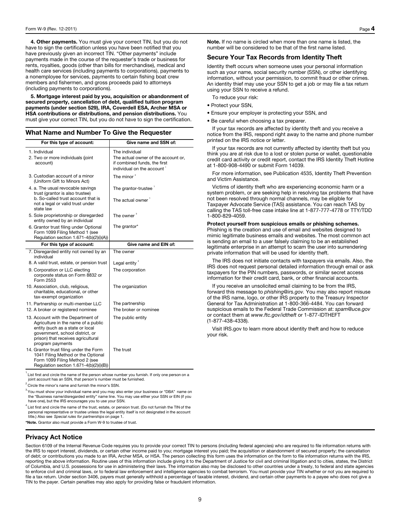4. Other payments. You must give your correct TIN, but you do not have to sign the certification unless you have been notified that you have previously given an incorrect TIN. "Other payments" include payments made in the course of the requester's trade or business for rents, royalties, goods (other than bills for merchandise), medical and health care services (including payments to corporations), payments to a nonemployee for services, payments to certain fishing boat crew members and fishermen, and gross proceeds paid to attorneys (including payments to corporations).

5. Mortgage interest paid by you, acquisition or abandonment of secured property, cancellation of debt, qualified tuition program payments (under section 529), IRA, Coverdell ESA, Archer MSA or HSA contributions or distributions, and pension distributions. You must give your correct TIN, but you do not have to sign the certification.

#### What Name and Number To Give the Requester

| For this type of account:                                                                                                                                                                                  | Give name and SSN of:                                                                                                |
|------------------------------------------------------------------------------------------------------------------------------------------------------------------------------------------------------------|----------------------------------------------------------------------------------------------------------------------|
| 1. Individual<br>2. Two or more individuals (joint<br>account)                                                                                                                                             | The individual<br>The actual owner of the account or,<br>if combined funds, the first<br>individual on the account ' |
| 3. Custodian account of a minor<br>(Uniform Gift to Minors Act)                                                                                                                                            | The minor $2$                                                                                                        |
| 4. a. The usual revocable savings<br>trust (grantor is also trustee)<br>b. So-called trust account that is<br>not a legal or valid trust under<br>state law                                                | The grantor-trustee <sup>1</sup><br>The actual owner <sup>1</sup>                                                    |
| 5. Sole proprietorship or disregarded<br>entity owned by an individual                                                                                                                                     | The owner <sup>3</sup>                                                                                               |
| 6. Grantor trust filing under Optional<br>Form 1099 Filing Method 1 (see<br>Regulation section 1.671-4(b)(2)(i)(A))                                                                                        | The grantor*                                                                                                         |
| For this type of account:                                                                                                                                                                                  | Give name and EIN of:                                                                                                |
| 7. Disregarded entity not owned by an<br>individual                                                                                                                                                        | The owner                                                                                                            |
| 8. A valid trust, estate, or pension trust                                                                                                                                                                 | Legal entity <sup>4</sup>                                                                                            |
| 9. Corporation or LLC electing<br>corporate status on Form 8832 or<br>Form 2553                                                                                                                            | The corporation                                                                                                      |
| 10. Association, club, religious,<br>charitable, educational, or other<br>tax-exempt organization                                                                                                          | The organization                                                                                                     |
| 11. Partnership or multi-member LLC                                                                                                                                                                        | The partnership                                                                                                      |
| 12. A broker or registered nominee                                                                                                                                                                         | The broker or nominee                                                                                                |
| 13. Account with the Department of<br>Agriculture in the name of a public<br>entity (such as a state or local<br>government, school district, or<br>prison) that receives agricultural<br>program payments | The public entity                                                                                                    |
| 14. Grantor trust filing under the Form<br>1041 Filing Method or the Optional<br>Form 1099 Filing Method 2 (see<br>Regulation section $1.671-4(b)(2)(i)(B)$                                                | The trust                                                                                                            |

 $1$  List first and circle the name of the person whose number you furnish. If only one person on a joint account has an SSN, that person's number must be furnished.

 $2$  Circle the minor's name and furnish the minor's SSN.

3 You must show your individual name and you may also enter your business or "DBA" name on the "Business name/disregarded entity" name line. You may use either your SSN or EIN (if you have one), but the IRS encourages you to use your SSN.

 $^4$  List first and circle the name of the trust, estate, or pension trust. (Do not furnish the TIN of the personal representative or trustee unless the legal entity itself is not designated in the account<br>title.) Also see *Special rules for partnerships* on page 1.

\*Note. Grantor also must provide a Form W-9 to trustee of trust.

Note. If no name is circled when more than one name is listed, the number will be considered to be that of the first name listed.

#### Secure Your Tax Records from Identity Theft

Identity theft occurs when someone uses your personal information such as your name, social security number (SSN), or other identifying information, without your permission, to commit fraud or other crimes. An identity thief may use your SSN to get a job or may file a tax return using your SSN to receive a refund.

To reduce your risk:

- Protect your SSN,
- Ensure your employer is protecting your SSN, and
- Be careful when choosing a tax preparer.

If your tax records are affected by identity theft and you receive a notice from the IRS, respond right away to the name and phone number printed on the IRS notice or letter.

If your tax records are not currently affected by identity theft but you think you are at risk due to a lost or stolen purse or wallet, questionable credit card activity or credit report, contact the IRS Identity Theft Hotline at 1-800-908-4490 or submit Form 14039.

For more information, see Publication 4535, Identity Theft Prevention and Victim Assistance.

Victims of identity theft who are experiencing economic harm or a system problem, or are seeking help in resolving tax problems that have not been resolved through normal channels, may be eligible for Taxpayer Advocate Service (TAS) assistance. You can reach TAS by calling the TAS toll-free case intake line at 1-877-777-4778 or TTY/TDD 1-800-829-4059.

Protect yourself from suspicious emails or phishing schemes. Phishing is the creation and use of email and websites designed to mimic legitimate business emails and websites. The most common act is sending an email to a user falsely claiming to be an established legitimate enterprise in an attempt to scam the user into surrendering private information that will be used for identity theft.

The IRS does not initiate contacts with taxpayers via emails. Also, the IRS does not request personal detailed information through email or ask taxpayers for the PIN numbers, passwords, or similar secret access information for their credit card, bank, or other financial accounts.

If you receive an unsolicited email claiming to be from the IRS, forward this message to phishing@irs.gov. You may also report misuse of the IRS name, logo, or other IRS property to the Treasury Inspector General for Tax Administration at 1-800-366-4484. You can forward suspicious emails to the Federal Trade Commission at: spam@uce.gov or contact them at www.ftc.gov/idtheft or 1-877-IDTHEFT (1-877-438-4338).

Visit IRS.gov to learn more about identity theft and how to reduce your risk.

## Privacy Act Notice

Section 6109 of the Internal Revenue Code requires you to provide your correct TIN to persons (including federal agencies) who are required to file information returns with the IRS to report interest, dividends, or certain other income paid to you; mortgage interest you paid; the acquisition or abandonment of secured property; the cancellation of debt; or contributions you made to an IRA, Archer MSA, or HSA. The person collecting this form uses the information on the form to file information returns with the IRS, reporting the above information. Routine uses of this information include giving it to the Department of Justice for civil and criminal litigation and to cities, states, the District of Columbia, and U.S. possessions for use in administering their laws. The information also may be disclosed to other countries under a treaty, to federal and state agencies to enforce civil and criminal laws, or to federal law enforcement and intelligence agencies to combat terrorism. You must provide your TIN whether or not you are required to file a tax return. Under section 3406, payers must generally withhold a percentage of taxable interest, dividend, and certain other payments to a payee who does not give a TIN to the payer. Certain penalties may also apply for providing false or fraudulent information.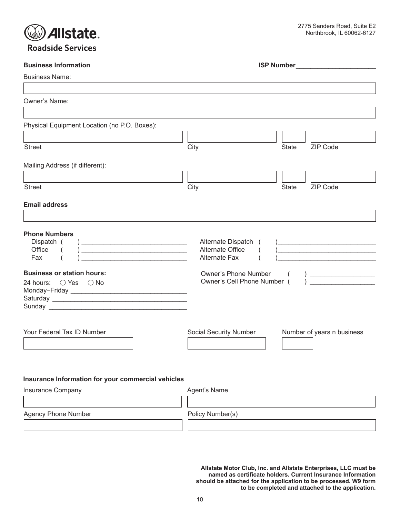

|  | Business Information |
|--|----------------------|
|--|----------------------|

**Business Information ISP Number** \_\_\_\_\_\_\_\_\_\_\_\_\_\_\_\_\_\_\_\_\_\_

| <b>Business Name:</b>                                                                                                                                                 |                                                                                                                                                                                                                                                                                                                                                                                                                                                                                                                             |  |
|-----------------------------------------------------------------------------------------------------------------------------------------------------------------------|-----------------------------------------------------------------------------------------------------------------------------------------------------------------------------------------------------------------------------------------------------------------------------------------------------------------------------------------------------------------------------------------------------------------------------------------------------------------------------------------------------------------------------|--|
|                                                                                                                                                                       |                                                                                                                                                                                                                                                                                                                                                                                                                                                                                                                             |  |
| Owner's Name:                                                                                                                                                         |                                                                                                                                                                                                                                                                                                                                                                                                                                                                                                                             |  |
|                                                                                                                                                                       |                                                                                                                                                                                                                                                                                                                                                                                                                                                                                                                             |  |
| Physical Equipment Location (no P.O. Boxes):                                                                                                                          |                                                                                                                                                                                                                                                                                                                                                                                                                                                                                                                             |  |
|                                                                                                                                                                       | ZIP Code                                                                                                                                                                                                                                                                                                                                                                                                                                                                                                                    |  |
| <b>Street</b>                                                                                                                                                         | <b>State</b><br>City                                                                                                                                                                                                                                                                                                                                                                                                                                                                                                        |  |
| Mailing Address (if different):                                                                                                                                       |                                                                                                                                                                                                                                                                                                                                                                                                                                                                                                                             |  |
|                                                                                                                                                                       |                                                                                                                                                                                                                                                                                                                                                                                                                                                                                                                             |  |
| <b>Street</b>                                                                                                                                                         | <b>State</b><br>ZIP Code<br>City                                                                                                                                                                                                                                                                                                                                                                                                                                                                                            |  |
| <b>Email address</b>                                                                                                                                                  |                                                                                                                                                                                                                                                                                                                                                                                                                                                                                                                             |  |
|                                                                                                                                                                       |                                                                                                                                                                                                                                                                                                                                                                                                                                                                                                                             |  |
| <b>Phone Numbers</b><br>Dispatch (<br>Office<br>Fax<br><u> 1989 - Johann Barbara, martxa alemaniar a</u><br><b>Business or station hours:</b><br>24 hours: ○ Yes ○ No | Alternate Dispatch (<br>Alternate Office<br>$\left($<br>$\begin{picture}(20,10) \put(0,0){\dashbox{0.5}(10,0){ }} \put(15,0){\circle{10}} \put(15,0){\circle{10}} \put(15,0){\circle{10}} \put(15,0){\circle{10}} \put(15,0){\circle{10}} \put(15,0){\circle{10}} \put(15,0){\circle{10}} \put(15,0){\circle{10}} \put(15,0){\circle{10}} \put(15,0){\circle{10}} \put(15,0){\circle{10}} \put(15,0){\circle{10}} \put(15,0){\circle{10}} \put(15,$<br>Alternate Fax<br>Owner's Phone Number<br>Owner's Cell Phone Number ( |  |
| Your Federal Tax ID Number                                                                                                                                            | Social Security Number<br>Number of years n business                                                                                                                                                                                                                                                                                                                                                                                                                                                                        |  |
| Insurance Information for your commercial vehicles                                                                                                                    |                                                                                                                                                                                                                                                                                                                                                                                                                                                                                                                             |  |
| <b>Insurance Company</b>                                                                                                                                              | Agent's Name                                                                                                                                                                                                                                                                                                                                                                                                                                                                                                                |  |
|                                                                                                                                                                       |                                                                                                                                                                                                                                                                                                                                                                                                                                                                                                                             |  |
| <b>Agency Phone Number</b>                                                                                                                                            | Policy Number(s)                                                                                                                                                                                                                                                                                                                                                                                                                                                                                                            |  |
|                                                                                                                                                                       |                                                                                                                                                                                                                                                                                                                                                                                                                                                                                                                             |  |

**Allstate Motor Club, Inc. and Allstate Enterprises, LLC must be named as certiicate holders. Current Insurance Information should be attached for the application to be processed. W9 form to be completed and attached to the application.**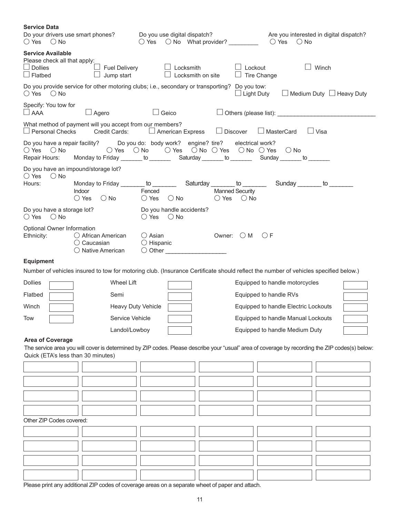| <b>Service Data</b><br>Do your drivers use smart phones?<br>$\bigcirc$ Yes $\bigcirc$ No     |                                                                                                                                                                                                     | Do you use digital dispatch?                                |                        | $\bigcirc$ Yes                              | Are you interested in digital dispatch?<br>$\bigcirc$ No |  |
|----------------------------------------------------------------------------------------------|-----------------------------------------------------------------------------------------------------------------------------------------------------------------------------------------------------|-------------------------------------------------------------|------------------------|---------------------------------------------|----------------------------------------------------------|--|
| <b>Service Available</b><br>Please check all that apply:<br>$\Box$ Dollies<br>$\Box$ Flatbed | $\Box$ Fuel Delivery<br>Jump start                                                                                                                                                                  | $\Box$ Locksmith<br>$\Box$ Locksmith on site                |                        | $\Box$ Lockout<br>Tire Change               | Winch                                                    |  |
| $\bigcirc$ Yes $\bigcirc$ No                                                                 | Do you provide service for other motoring clubs; i.e., secondary or transporting? Do you tow:                                                                                                       |                                                             |                        | $\Box$ Light Duty                           | $\Box$ Medium Duty $\Box$ Heavy Duty                     |  |
| Specify: You tow for<br>$\Box$ AAA                                                           | $\Box$ Agero                                                                                                                                                                                        | $\Box$ Geico                                                |                        | $\Box$ Others (please list): $\Box$         |                                                          |  |
| $\Box$ Personal Checks                                                                       | What method of payment will you accept from our members?<br><b>Credit Cards:</b>                                                                                                                    | □ American Express                                          | $\Box$ Discover        | $\Box$ MasterCard                           | $\Box$ Visa                                              |  |
| $\bigcirc$ Yes $\bigcirc$ No                                                                 | Do you have a repair facility? Do you do: body work? engine? tire? electrical work?<br>Repair Hours: Monday to Friday _______ to __________ Saturday _______ to _________ Sunday _______ to _______ |                                                             |                        | O Yes O No O Yes O No O Yes O No O Yes O No |                                                          |  |
| $\bigcirc$ Yes<br>$\bigcirc$ No                                                              | Do you have an impound/storage lot?                                                                                                                                                                 |                                                             |                        |                                             |                                                          |  |
| Hours:                                                                                       | Indoor<br>$\bigcirc$ Yes<br>$\bigcirc$ No                                                                                                                                                           | Fenced<br>$\bigcirc$ Yes<br>$\bigcirc$ No                   | <b>Manned Security</b> | $O$ Yes $O$ No                              |                                                          |  |
| Do you have a storage lot?<br>$\bigcirc$ Yes $\bigcirc$ No                                   |                                                                                                                                                                                                     | Do you handle accidents?<br>$\bigcirc$ Yes $\bigcirc$ No    |                        |                                             |                                                          |  |
| Optional Owner Information<br>Ethnicity:                                                     | $\bigcirc$ African American<br>$\bigcirc$ Caucasian<br>$\bigcirc$ Native American                                                                                                                   | $\bigcirc$ Asian<br>$\bigcirc$ Hispanic<br>$\bigcirc$ Other |                        | Owner: $\bigcirc M$ $\bigcirc F$            |                                                          |  |
| <b>Equipment</b>                                                                             | Number of vehicles insured to tow for motoring club. (Insurance Certificate should reflect the number of vehicles specified below.)                                                                 |                                                             |                        |                                             |                                                          |  |
| <b>Dollies</b>                                                                               | <b>Wheel Lift</b>                                                                                                                                                                                   |                                                             |                        | Equipped to handle motorcycles              |                                                          |  |
| Flatbed                                                                                      | Semi                                                                                                                                                                                                |                                                             |                        | Equipped to handle RVs                      |                                                          |  |
| Winch                                                                                        |                                                                                                                                                                                                     | Heavy Duty Vehicle                                          |                        | Equipped to handle Electric Lockouts        |                                                          |  |
| Tow                                                                                          | Service Vehicle                                                                                                                                                                                     |                                                             |                        | Equipped to handle Manual Lockouts          |                                                          |  |
|                                                                                              | Landol/Lowboy                                                                                                                                                                                       |                                                             |                        | Equipped to handle Medium Duty              |                                                          |  |
| <b>Area of Coverage</b><br>Quick (ETA's less than 30 minutes)                                | The service area you will cover is determined by ZIP codes. Please describe your "usual" area of coverage by recording the ZIP codes(s) below:                                                      |                                                             |                        |                                             |                                                          |  |
|                                                                                              |                                                                                                                                                                                                     |                                                             |                        |                                             |                                                          |  |
|                                                                                              |                                                                                                                                                                                                     |                                                             |                        |                                             |                                                          |  |
|                                                                                              |                                                                                                                                                                                                     |                                                             |                        |                                             |                                                          |  |
|                                                                                              |                                                                                                                                                                                                     |                                                             |                        |                                             |                                                          |  |
| Other ZIP Codes covered:                                                                     |                                                                                                                                                                                                     |                                                             |                        |                                             |                                                          |  |
|                                                                                              |                                                                                                                                                                                                     |                                                             |                        |                                             |                                                          |  |
|                                                                                              |                                                                                                                                                                                                     |                                                             |                        |                                             |                                                          |  |
|                                                                                              |                                                                                                                                                                                                     |                                                             |                        |                                             |                                                          |  |
|                                                                                              |                                                                                                                                                                                                     |                                                             |                        |                                             |                                                          |  |
|                                                                                              |                                                                                                                                                                                                     |                                                             |                        |                                             |                                                          |  |

Please print any additional ZIP codes of coverage areas on a separate wheet of paper and attach.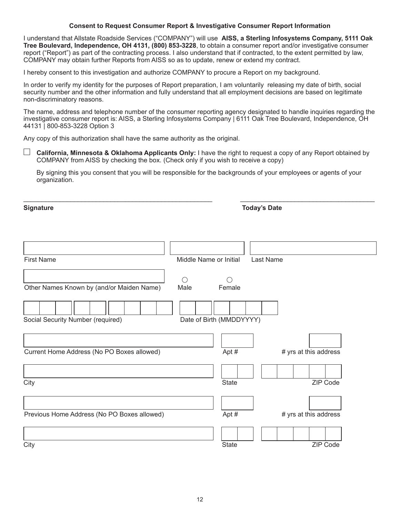## **Consent to Request Consumer Report & Investigative Consumer Report Information**

I understand that Allstate Roadside Services ("COMPANY") will use **AISS, a Sterling Infosystems Company, 5111 Oak Tree Boulevard, Independence, OH 4131, (800) 853-3228**, to obtain a consumer report and/or investigative consumer report ("Report") as part of the contracting process. I also understand that if contracted, to the extent permitted by law, COMPANY may obtain further Reports from AISS so as to update, renew or extend my contract.

I hereby consent to this investigation and authorize COMPANY to procure a Report on my background.

In order to verify my identity for the purposes of Report preparation, I am voluntarily releasing my date of birth, social security number and the other information and fully understand that all employment decisions are based on legitimate non-discriminatory reasons.

The name, address and telephone number of the consumer reporting agency designated to handle inquiries regarding the investigative consumer report is: AISS, a Sterling Infosystems Company | 6111 Oak Tree Boulevard, Independence, OH 44131 | 800-853-3228 Option 3

Any copy of this authorization shall have the same authority as the original.

6 **California, Minnesota & Oklahoma Applicants Only:** I have the right to request a copy of any Report obtained by COMPANY from AISS by checking the box. (Check only if you wish to receive a copy)

 By signing this you consent that you will be responsible for the backgrounds of your employees or agents of your organization.

\_\_\_\_\_\_\_\_\_\_\_\_\_\_\_\_\_\_\_\_\_\_\_\_\_\_\_\_\_\_\_\_\_\_\_\_\_\_\_\_\_\_\_\_\_\_\_\_\_\_\_\_ \_\_\_\_\_\_\_\_\_\_\_\_\_\_\_\_\_\_\_\_\_\_\_\_\_\_\_\_\_\_\_\_\_\_\_\_\_

**Signature Today's Date Contract Contract Contract Contract Contract Contract Contract Contract Contract Contract Contract Contract Contract Contract Contract Contract Contract Contract Contract Contract Contract Contract** 

| <b>First Name</b>                           | Middle Name or Initial   |              | Last Name             |
|---------------------------------------------|--------------------------|--------------|-----------------------|
|                                             |                          |              |                       |
| Other Names Known by (and/or Maiden Name)   | Male                     | Female       |                       |
| Social Security Number (required)           | Date of Birth (MMDDYYYY) |              |                       |
|                                             |                          |              |                       |
| Current Home Address (No PO Boxes allowed)  |                          | Apt#         | # yrs at this address |
|                                             |                          |              |                       |
| City                                        |                          | <b>State</b> | ZIP Code              |
|                                             |                          |              |                       |
| Previous Home Address (No PO Boxes allowed) |                          | Apt#         | # yrs at this address |
|                                             |                          |              |                       |
| City                                        |                          | <b>State</b> | ZIP Code              |